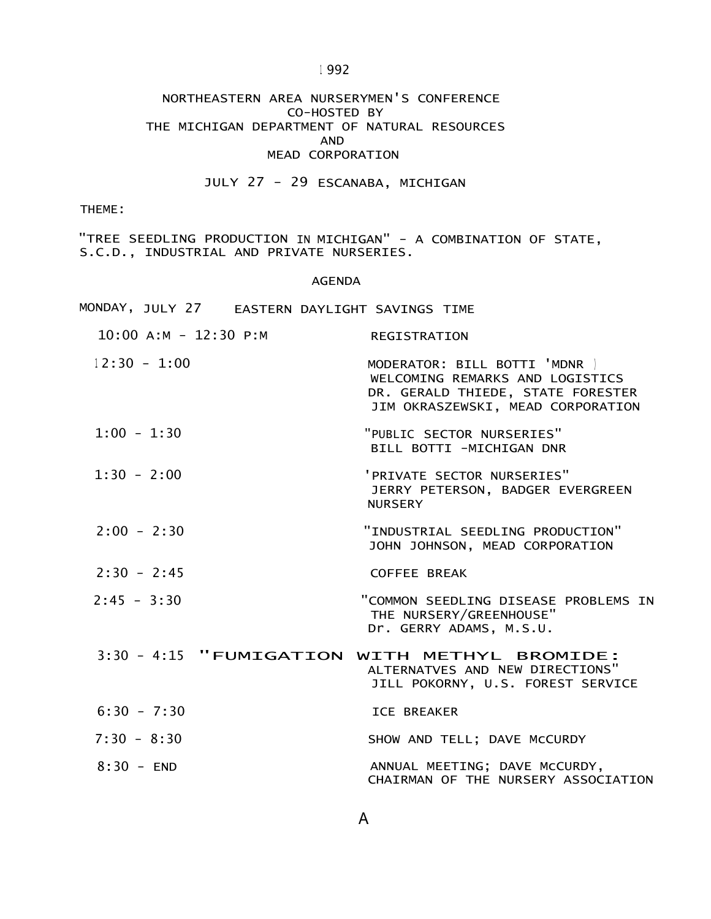<sup>1</sup> 992

### NORTHEASTERN AREA NURSERYMEN'S CONFERENCE CO-HOSTED BY THE MICHIGAN DEPARTMENT OF NATURAL RESOURCES AND MEAD CORPORATION

# JULY 27 - 29 ESCANABA, MICHIGAN

THEME:

"TREE SEEDLING PRODUCTION IN MICHIGAN" - A COMBINATION OF STATE, S.C.D., INDUSTRIAL AND PRIVATE NURSERIES.

#### AGENDA

|                           | MONDAY, JULY 27 EASTERN DAYLIGHT SAVINGS TIME |                                                                                                                                            |
|---------------------------|-----------------------------------------------|--------------------------------------------------------------------------------------------------------------------------------------------|
| $10:00$ A:M - $12:30$ P:M |                                               | <b>REGISTRATION</b>                                                                                                                        |
| $12:30 - 1:00$            |                                               | MODERATOR: BILL BOTTI 'MDNR  <br>WELCOMING REMARKS AND LOGISTICS<br>DR. GERALD THIEDE, STATE FORESTER<br>JIM OKRASZEWSKI, MEAD CORPORATION |
| $1:00 - 1:30$             |                                               | "PUBLIC SECTOR NURSERIES"<br>BILL BOTTI -MICHIGAN DNR                                                                                      |
| $1:30 - 2:00$             |                                               | 'PRIVATE SECTOR NURSERIES"<br>JERRY PETERSON, BADGER EVERGREEN<br><b>NURSERY</b>                                                           |
| $2:00 - 2:30$             |                                               | "INDUSTRIAL SEEDLING PRODUCTION"<br>JOHN JOHNSON, MEAD CORPORATION                                                                         |
| $2:30 - 2:45$             |                                               | <b>COFFEE BREAK</b>                                                                                                                        |
| $2:45 - 3:30$             |                                               | "COMMON SEEDLING DISEASE PROBLEMS IN<br>THE NURSERY/GREENHOUSE"<br>Dr. GERRY ADAMS, M.S.U.                                                 |
|                           |                                               | 3:30 - 4:15 "FUMIGATION WITH METHYL BROMIDE:<br>ALTERNATVES AND NEW DIRECTIONS"<br>JILL POKORNY, U.S. FOREST SERVICE                       |
| $6:30 - 7:30$             |                                               | <b>ICE BREAKER</b>                                                                                                                         |
| $7:30 - 8:30$             |                                               | SHOW AND TELL; DAVE MCCURDY                                                                                                                |
| $8:30 - END$              |                                               | ANNUAL MEETING; DAVE MCCURDY,<br>CHAIRMAN OF THE NURSERY ASSOCIATION                                                                       |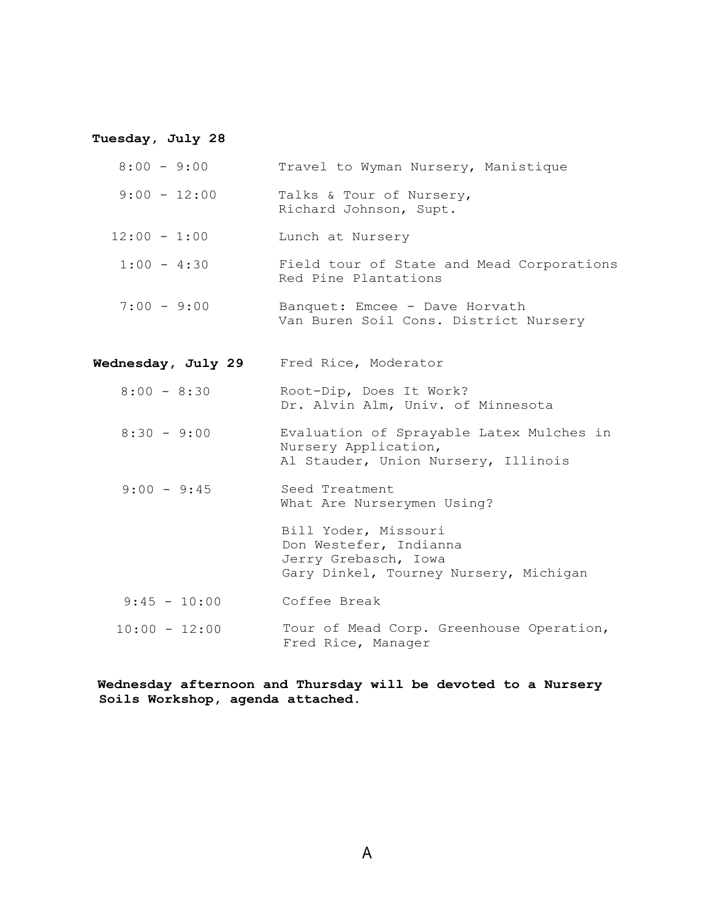# **Tuesday, July 28**

| $8:00 - 9:00$      | Travel to Wyman Nursery, Manistique                                                                              |
|--------------------|------------------------------------------------------------------------------------------------------------------|
| $9:00 - 12:00$     | Talks & Tour of Nursery,<br>Richard Johnson, Supt.                                                               |
| $12:00 - 1:00$     | Lunch at Nursery                                                                                                 |
| $1:00 - 4:30$      | Field tour of State and Mead Corporations<br>Red Pine Plantations                                                |
| $7:00 - 9:00$      | Banquet: Emcee - Dave Horvath<br>Van Buren Soil Cons. District Nursery                                           |
| Wednesday, July 29 | Fred Rice, Moderator                                                                                             |
| $8:00 - 8:30$      | Root-Dip, Does It Work?<br>Dr. Alvin Alm, Univ. of Minnesota                                                     |
| $8:30 - 9:00$      | Evaluation of Sprayable Latex Mulches in<br>Nursery Application,<br>Al Stauder, Union Nursery, Illinois          |
| $9:00 - 9:45$      | Seed Treatment<br>What Are Nurserymen Using?                                                                     |
|                    | Bill Yoder, Missouri<br>Don Westefer, Indianna<br>Jerry Grebasch, Iowa<br>Gary Dinkel, Tourney Nursery, Michigan |
| $9:45 - 10:00$     | Coffee Break                                                                                                     |
| $10:00 - 12:00$    | Tour of Mead Corp. Greenhouse Operation,<br>Fred Rice, Manager                                                   |

**Wednesday afternoon and Thursday will be devoted to a Nursery Soils Workshop, agenda attached.**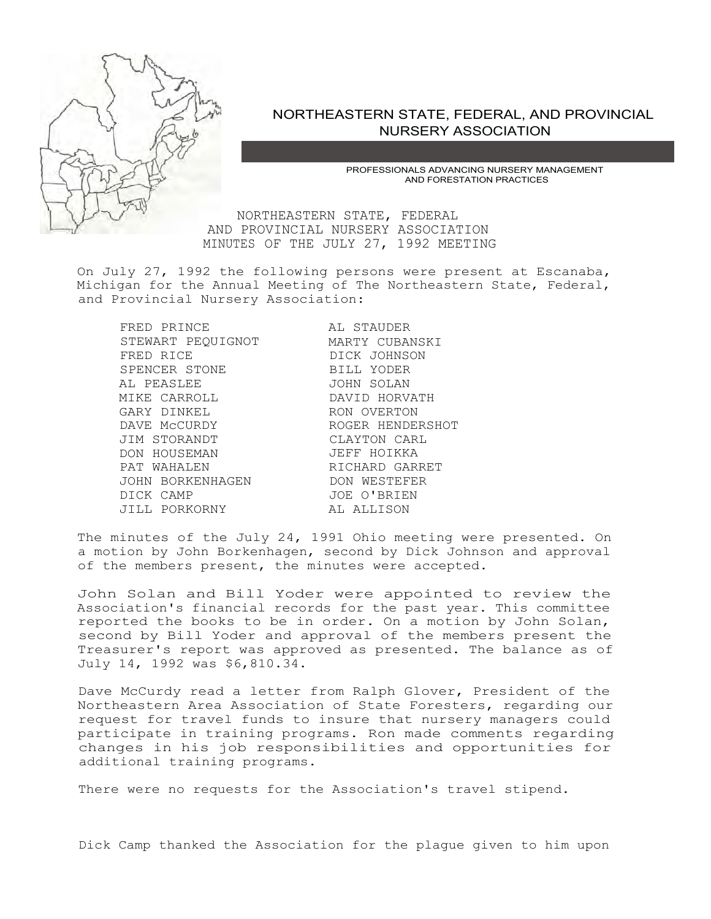

### NORTHEASTERN STATE, FEDERAL, AND PROVINCIAL NURSERY ASSOCIATION

PROFESSIONALS ADVANCING NURSERY MANAGEMENT AND FORESTATION PRACTICES

NORTHEASTERN STATE, FEDERAL AND PROVINCIAL NURSERY ASSOCIATION MINUTES OF THE JULY 27, 1992 MEETING

On July 27, 1992 the following persons were present at Escanaba, Michigan for the Annual Meeting of The Northeastern State, Federal, and Provincial Nursery Association:

FRED PRINCE AL STAUDER STEWART PEQUIGNOT MARTY CUBANSKI FRED RICE DICK JOHNSON SPENCER STONE BILL YODER AL PEASLEE JOHN SOLAN GARY DINKEL RON OVERTON DAVE MCCURDY ROGER HENDERSHOT JIM STORANDT CLAYTON CARL DON HOUSEMAN<br>PAT WAHALEN JOHN BORKENHAGEN DON WESTEFER DICK CAMP JOE O'BRIEN JILL PORKORNY AL ALLISON

DAVID HORVATH RICHARD GARRET

The minutes of the July 24, 1991 Ohio meeting were presented. On a motion by John Borkenhagen, second by Dick Johnson and approval of the members present, the minutes were accepted.

John Solan and Bill Yoder were appointed to review the Association's financial records for the past year. This committee reported the books to be in order. On a motion by John Solan, second by Bill Yoder and approval of the members present the Treasurer's report was approved as presented. The balance as of July 14, 1992 was \$6,810.34.

Dave McCurdy read a letter from Ralph Glover, President of the Northeastern Area Association of State Foresters, regarding our request for travel funds to insure that nursery managers could participate in training programs. Ron made comments regarding changes in his job responsibilities and opportunities for additional training programs.

There were no requests for the Association's travel stipend.

Dick Camp thanked the Association for the plague given to him upon